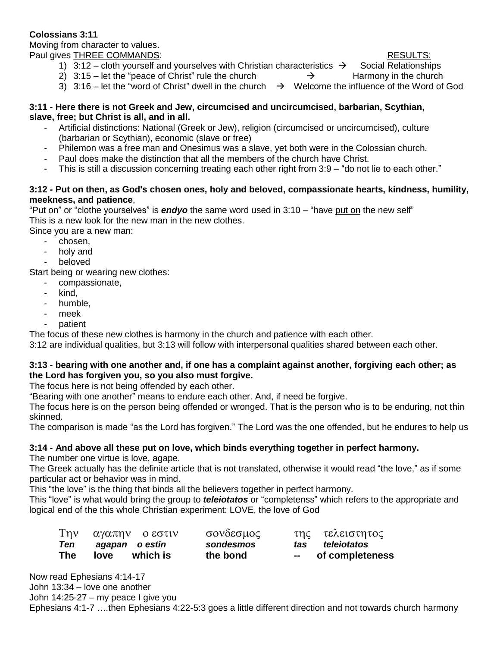# **Colossians 3:11**

Moving from character to values. Paul gives THREE COMMANDS:  $R$  ESULTS:

- 1) 3:12 cloth yourself and yourselves with Christian characteristics  $\rightarrow$  Social Relationships
- 2) 3:15 let the "peace of Christ" rule the church  $\rightarrow$  Harmony in the church
- 3) 3:16 let the "word of Christ" dwell in the church  $\rightarrow$  Welcome the influence of the Word of God

#### **3:11 - Here there is not Greek and Jew, circumcised and uncircumcised, barbarian, Scythian, slave, free; but Christ is all, and in all.**

- Artificial distinctions: National (Greek or Jew), religion (circumcised or uncircumcised), culture (barbarian or Scythian), economic (slave or free)
- Philemon was a free man and Onesimus was a slave, yet both were in the Colossian church.
- Paul does make the distinction that all the members of the church have Christ.
- This is still a discussion concerning treating each other right from 3:9 "do not lie to each other."

### **3:12 - Put on then, as God's chosen ones, holy and beloved, compassionate hearts, kindness, humility, meekness, and patience**,

"Put on" or "clothe yourselves" is *endyo* the same word used in 3:10 – "have put on the new self" This is a new look for the new man in the new clothes.

Since you are a new man:

- chosen,
- holy and
- beloved

Start being or wearing new clothes:

- compassionate,
- kind.
- humble.
- meek
- patient

The focus of these new clothes is harmony in the church and patience with each other.

3:12 are individual qualities, but 3:13 will follow with interpersonal qualities shared between each other.

# **3:13 - bearing with one another and, if one has a complaint against another, forgiving each other; as the Lord has forgiven you, so you also must forgive.**

The focus here is not being offended by each other.

"Bearing with one another" means to endure each other. And, if need be forgive.

The focus here is on the person being offended or wronged. That is the person who is to be enduring, not thin skinned.

The comparison is made "as the Lord has forgiven." The Lord was the one offended, but he endures to help us

# **3:14 - And above all these put on love, which binds everything together in perfect harmony.**

The number one virtue is love, agape.

The Greek actually has the definite article that is not translated, otherwise it would read "the love," as if some particular act or behavior was in mind.

This "the love" is the thing that binds all the believers together in perfect harmony.

This "love" is what would bring the group to *teleiotatos* or "completenss" which refers to the appropriate and logical end of the this whole Christian experiment: LOVE, the love of God

| $T\eta v$  | αγαπην οεστιν    | σονδεσμος |     | της τελειστητος |
|------------|------------------|-----------|-----|-----------------|
| Ten 、      | agapan oestin    | sondesmos | tas | teleiotatos     |
| <b>The</b> | which is<br>love | the bond  | $-$ | of completeness |

Now read Ephesians 4:14-17 John 13:34 – love one another John 14:25-27 – my peace I give you Ephesians 4:1-7 ….then Ephesians 4:22-5:3 goes a little different direction and not towards church harmony